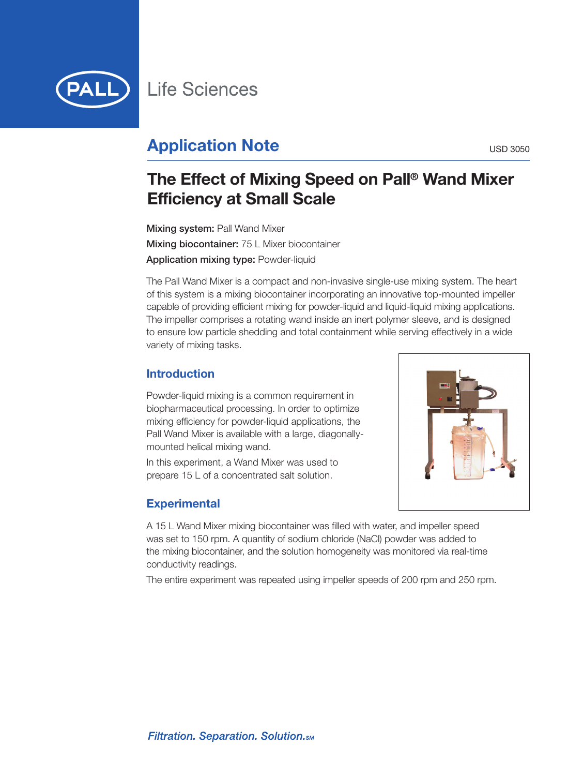

# **Application Note** USD 3050

# **The Effect of Mixing Speed on Pall ® Wand Mixer Efficiency at Small Scale**

**Mixing system:** Pall Wand Mixer **Mixing biocontainer:** 75 L Mixer biocontainer **Application mixing type:** Powder-liquid

The Pall Wand Mixer is a compact and non-invasive single-use mixing system. The heart of this system is a mixing biocontainer incorporating an innovative top-mounted impeller capable of providing efficient mixing for powder-liquid and liquid-liquid mixing applications. The impeller comprises a rotating wand inside an inert polymer sleeve, and is designed to ensure low particle shedding and total containment while serving effectively in a wide variety of mixing tasks.

# **Introduction**

Powder-liquid mixing is a common requirement in biopharmaceutical processing. In order to optimize mixing efficiency for powder-liquid applications, the Pall Wand Mixer is available with a large, diagonallymounted helical mixing wand.

In this experiment, a Wand Mixer was used to prepare 15 L of a concentrated salt solution.

# **Experimental**



A 15 L Wand Mixer mixing biocontainer was filled with water, and impeller speed was set to 150 rpm. A quantity of sodium chloride (NaCl) powder was added to the mixing biocontainer, and the solution homogeneity was monitored via real-time conductivity readings.

The entire experiment was repeated using impeller speeds of 200 rpm and 250 rpm.